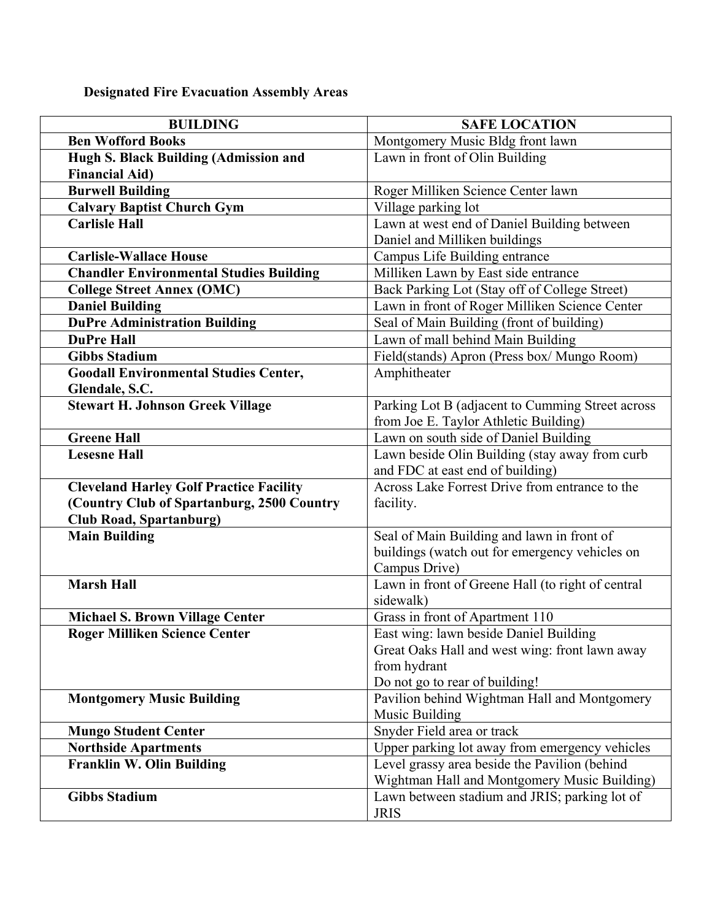## **Designated Fire Evacuation Assembly Areas**

| <b>BUILDING</b>                                | <b>SAFE LOCATION</b>                              |
|------------------------------------------------|---------------------------------------------------|
| <b>Ben Wofford Books</b>                       | Montgomery Music Bldg front lawn                  |
| Hugh S. Black Building (Admission and          | Lawn in front of Olin Building                    |
| <b>Financial Aid)</b>                          |                                                   |
| <b>Burwell Building</b>                        | Roger Milliken Science Center lawn                |
| <b>Calvary Baptist Church Gym</b>              | Village parking lot                               |
| <b>Carlisle Hall</b>                           | Lawn at west end of Daniel Building between       |
|                                                | Daniel and Milliken buildings                     |
| <b>Carlisle-Wallace House</b>                  | Campus Life Building entrance                     |
| <b>Chandler Environmental Studies Building</b> | Milliken Lawn by East side entrance               |
| <b>College Street Annex (OMC)</b>              | Back Parking Lot (Stay off of College Street)     |
| <b>Daniel Building</b>                         | Lawn in front of Roger Milliken Science Center    |
| <b>DuPre Administration Building</b>           | Seal of Main Building (front of building)         |
| <b>DuPre Hall</b>                              | Lawn of mall behind Main Building                 |
| <b>Gibbs Stadium</b>                           | Field(stands) Apron (Press box/ Mungo Room)       |
| <b>Goodall Environmental Studies Center,</b>   | Amphitheater                                      |
| Glendale, S.C.                                 |                                                   |
| <b>Stewart H. Johnson Greek Village</b>        | Parking Lot B (adjacent to Cumming Street across  |
|                                                | from Joe E. Taylor Athletic Building)             |
| <b>Greene Hall</b>                             | Lawn on south side of Daniel Building             |
| <b>Lesesne Hall</b>                            | Lawn beside Olin Building (stay away from curb    |
|                                                | and FDC at east end of building)                  |
| <b>Cleveland Harley Golf Practice Facility</b> | Across Lake Forrest Drive from entrance to the    |
| (Country Club of Spartanburg, 2500 Country     | facility.                                         |
| <b>Club Road, Spartanburg)</b>                 |                                                   |
| <b>Main Building</b>                           | Seal of Main Building and lawn in front of        |
|                                                | buildings (watch out for emergency vehicles on    |
|                                                | Campus Drive)                                     |
| <b>Marsh Hall</b>                              | Lawn in front of Greene Hall (to right of central |
|                                                | sidewalk)                                         |
| <b>Michael S. Brown Village Center</b>         | Grass in front of Apartment 110                   |
| <b>Roger Milliken Science Center</b>           | East wing: lawn beside Daniel Building            |
|                                                | Great Oaks Hall and west wing: front lawn away    |
|                                                | from hydrant                                      |
|                                                | Do not go to rear of building!                    |
| <b>Montgomery Music Building</b>               | Pavilion behind Wightman Hall and Montgomery      |
|                                                | Music Building                                    |
| <b>Mungo Student Center</b>                    | Snyder Field area or track                        |
| <b>Northside Apartments</b>                    | Upper parking lot away from emergency vehicles    |
| <b>Franklin W. Olin Building</b>               | Level grassy area beside the Pavilion (behind     |
|                                                | Wightman Hall and Montgomery Music Building)      |
| <b>Gibbs Stadium</b>                           | Lawn between stadium and JRIS; parking lot of     |
|                                                | <b>JRIS</b>                                       |